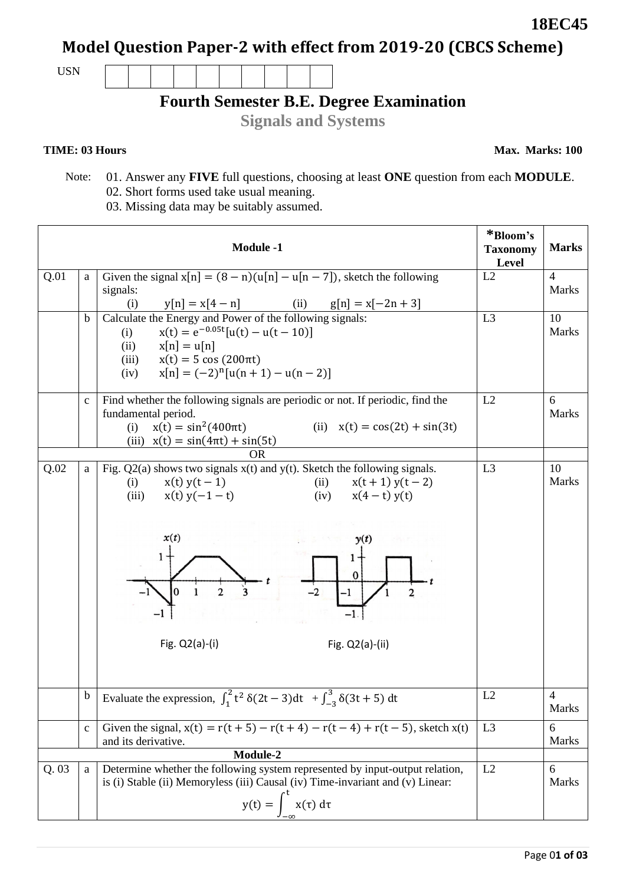**18EC45**

**Model Question Paper-2 with effect from 2019-20 (CBCS Scheme)**

USN

## **Fourth Semester B.E. Degree Examination**

**Signals and Systems**

## **TIME: 03 Hours**

**Max. Marks: 100**

- Note: 01. Answer any **FIVE** full questions, choosing at least **ONE** question from each **MODULE**. 02. Short forms used take usual meaning.
	- 03. Missing data may be suitably assumed.

|       |             | <b>Module -1</b>                                                                                                                                                                                                                                                     | *Bloom's<br><b>Taxonomy</b><br>Level | <b>Marks</b>                      |
|-------|-------------|----------------------------------------------------------------------------------------------------------------------------------------------------------------------------------------------------------------------------------------------------------------------|--------------------------------------|-----------------------------------|
| Q.01  | a           | Given the signal $x[n] = (8 - n)(u[n] - u[n - 7])$ , sketch the following<br>signals:<br>$y[n] = x[4-n]$ (ii) $g[n] = x[-2n+3]$<br>(i)                                                                                                                               | L2                                   | $\overline{\mathcal{L}}$<br>Marks |
|       | $\mathbf b$ | Calculate the Energy and Power of the following signals:<br>$x(t) = e^{-0.05t} [u(t) - u(t - 10)]$<br>(i)<br>$x[n] = u[n]$<br>(ii)<br>$x(t) = 5 \cos(200 \pi t)$<br>(iii)<br>$x[n] = (-2)^n[u(n + 1) - u(n - 2)]$<br>(iv)                                            | L <sub>3</sub>                       | 10<br><b>Marks</b>                |
|       | $\mathbf c$ | Find whether the following signals are periodic or not. If periodic, find the<br>fundamental period.<br>$x(t) = \sin^2(400\pi t)$<br>(ii) $x(t) = cos(2t) + sin(3t)$<br>(i)<br>(iii) $x(t) = \sin(4\pi t) + \sin(5t)$<br><b>OR</b>                                   | L2                                   | 6<br>Marks                        |
| Q.02  | a           | Fig. $Q2(a)$ shows two signals $x(t)$ and $y(t)$ . Sketch the following signals.<br>$x(t) y(t-1)$<br>(ii)<br>$x(t+1)y(t-2)$<br>(i)<br>$x(t) y(-1-t)$<br>(iv) $x(4-t) y(t)$<br>(iii)<br>x(t)<br>y(t)<br>1<br>0<br>$-2$<br>$-1$<br>Fig. $Q2(a)-(i)$<br>Fig. Q2(a)-(ii) | L <sub>3</sub>                       | 10<br>Marks                       |
|       | $\mathbf b$ | Evaluate the expression, $\int_1^2 t^2 \delta(2t-3) dt + \int_{-3}^3 \delta(3t+5) dt$                                                                                                                                                                                | L2                                   | $\overline{4}$<br>Marks           |
|       | $\mathbf c$ | Given the signal, $x(t) = r(t + 5) - r(t + 4) - r(t - 4) + r(t - 5)$ , sketch $x(t)$<br>and its derivative.<br>Module-2                                                                                                                                              | L <sub>3</sub>                       | 6<br><b>Marks</b>                 |
| Q. 03 | a           | Determine whether the following system represented by input-output relation,<br>is (i) Stable (ii) Memoryless (iii) Causal (iv) Time-invariant and (v) Linear:<br>$y(t) = \int_{-\infty}^{t} x(\tau) d\tau$                                                          | L2                                   | 6<br><b>Marks</b>                 |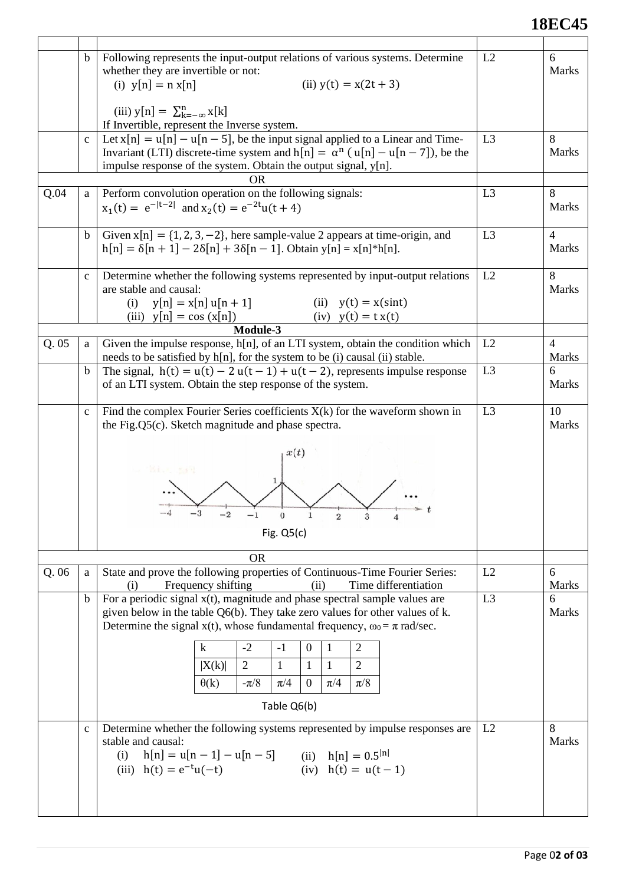## **18EC45**

|      | $\mathbf b$  | Following represents the input-output relations of various systems. Determine<br>whether they are invertible or not:<br>(i) $y[n] = n x[n]$<br>(ii) $y(t) = x(2t + 3)$<br>(iii) $y[n] = \sum_{k=-\infty}^{n} x[k]$<br>If Invertible, represent the Inverse system.                                                                                                                                                                                                                                                                                                                | L2             | 6<br><b>Marks</b>          |
|------|--------------|-----------------------------------------------------------------------------------------------------------------------------------------------------------------------------------------------------------------------------------------------------------------------------------------------------------------------------------------------------------------------------------------------------------------------------------------------------------------------------------------------------------------------------------------------------------------------------------|----------------|----------------------------|
|      | $\mathbf c$  | Let $x[n] = u[n] - u[n-5]$ , be the input signal applied to a Linear and Time-<br>Invariant (LTI) discrete-time system and h[n] = $\alpha^{n}$ (u[n] - u[n - 7]), be the<br>impulse response of the system. Obtain the output signal, y[n].<br>OR                                                                                                                                                                                                                                                                                                                                 | L <sub>3</sub> | 8<br>Marks                 |
| Q.04 | a            | Perform convolution operation on the following signals:<br>$x_1(t) = e^{- t-2 }$ and $x_2(t) = e^{-2t}u(t+4)$                                                                                                                                                                                                                                                                                                                                                                                                                                                                     | L <sub>3</sub> | 8<br>Marks                 |
|      | $\mathbf b$  | Given $x[n] = \{1, 2, 3, -2\}$ , here sample-value 2 appears at time-origin, and<br>$h[n] = \delta[n+1] - 2\delta[n] + 3\delta[n-1]$ . Obtain y[n] = x[n]*h[n].                                                                                                                                                                                                                                                                                                                                                                                                                   | L <sub>3</sub> | $\overline{4}$<br>Marks    |
|      | $\mathbf{C}$ | Determine whether the following systems represented by input-output relations<br>are stable and causal:<br>$y[n] = x[n]u[n+1]$<br>(ii) $y(t) = x(\text{sin}t)$<br>(i)<br>$(iv)$ $y(t) = tx(t)$<br>(iii) $y[n] = cos(x[n])$                                                                                                                                                                                                                                                                                                                                                        | L2             | 8<br>Marks                 |
| Q.05 | a            | Module-3<br>Given the impulse response, h[n], of an LTI system, obtain the condition which                                                                                                                                                                                                                                                                                                                                                                                                                                                                                        | L2             | $\overline{4}$             |
|      |              | needs to be satisfied by h[n], for the system to be (i) causal (ii) stable.                                                                                                                                                                                                                                                                                                                                                                                                                                                                                                       |                | <b>Marks</b>               |
|      | $\mathbf b$  | The signal, $h(t) = u(t) - 2u(t-1) + u(t-2)$ , represents impulse response<br>of an LTI system. Obtain the step response of the system.                                                                                                                                                                                                                                                                                                                                                                                                                                           | L <sub>3</sub> | 6<br><b>Marks</b>          |
|      | $\mathbf{C}$ | Find the complex Fourier Series coefficients $X(k)$ for the waveform shown in<br>the Fig.Q5(c). Sketch magnitude and phase spectra.<br>x(t)<br>"说起,大门会理<br>$\overline{-1}$<br>$\begin{array}{c} 0 \\ 0 \end{array}$ 1<br>Fig. $Q5(c)$                                                                                                                                                                                                                                                                                                                                             | L <sub>3</sub> | 10<br><b>Marks</b>         |
| Q.06 | a            | <b>OR</b><br>State and prove the following properties of Continuous-Time Fourier Series:                                                                                                                                                                                                                                                                                                                                                                                                                                                                                          | L2             | 6                          |
|      | $\mathbf b$  | Frequency shifting<br>Time differentiation<br>(ii)<br>(i)<br>For a periodic signal $x(t)$ , magnitude and phase spectral sample values are<br>given below in the table Q6(b). They take zero values for other values of k.<br>Determine the signal $x(t)$ , whose fundamental frequency, $\omega_0 = \pi$ rad/sec.<br>$\bf k$<br>$-2$<br>$-1$<br>$\boldsymbol{0}$<br>$\mathbf{1}$<br>$\overline{2}$<br>$\overline{2}$<br>$\mathbf{1}$<br>$\mathbf{1}$<br>$\overline{2}$<br>1<br> X(k) <br>$-\pi/8$<br>$\pi/8$<br>$\theta(k)$<br>$\pi/4$<br>$\mathbf{0}$<br>$\pi/4$<br>Table Q6(b) | L <sub>3</sub> | Marks<br>6<br><b>Marks</b> |
|      | $\mathbf{C}$ | Determine whether the following systems represented by impulse responses are<br>stable and causal:<br>$h[n] = u[n-1] - u[n-5]$ (ii) $h[n] = 0.5^{ n }$<br>(i)<br>(iv) $h(t) = u(t-1)$<br>(iii) $h(t) = e^{-t}u(-t)$                                                                                                                                                                                                                                                                                                                                                               | L2             | 8<br><b>Marks</b>          |